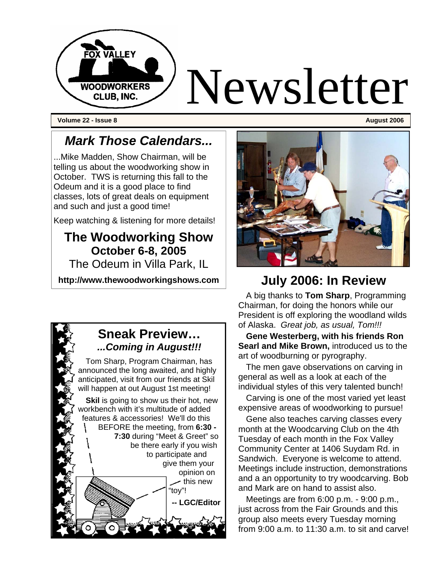

**Volume 22 - Issue 8** August 2006 **August 2006 August 2006 August 2006** 

### *Mark Those Calendars...*

...Mike Madden, Show Chairman, will be telling us about the woodworking show in October. TWS is returning this fall to the Odeum and it is a good place to find classes, lots of great deals on equipment and such and just a good time!

Keep watching & listening for more details!

### **The Woodworking Show October 6-8, 2005**

The Odeum in Villa Park, IL

**http://www.thewoodworkingshows.com** 

#### **Sneak Preview…**  *...Coming in August!!!*

Tom Sharp, Program Chairman, has announced the long awaited, and highly anticipated, visit from our friends at Skil will happen at out August 1st meeting!

**Skil** is going to show us their hot, new workbench with it's multitude of added features & accessories! We'll do this BEFORE the meeting, from **6:30 - 7:30** during "Meet & Greet" so be there early if you wish to participate and give them your opinion on  $\sim$  this new "toy"! **-- LGC/Editor** 

### **July 2006: In Review**

A big thanks to **Tom Sharp**, Programming Chairman, for doing the honors while our President is off exploring the woodland wilds of Alaska. *Great job, as usual, Tom!!!*

**Gene Westerberg, with his friends Ron Searl and Mike Brown,** introduced us to the art of woodburning or pyrography.

The men gave observations on carving in general as well as a look at each of the individual styles of this very talented bunch!

Carving is one of the most varied yet least expensive areas of woodworking to pursue!

Gene also teaches carving classes every month at the Woodcarving Club on the 4th Tuesday of each month in the Fox Valley Community Center at 1406 Suydam Rd. in Sandwich. Everyone is welcome to attend. Meetings include instruction, demonstrations and a an opportunity to try woodcarving. Bob and Mark are on hand to assist also.

Meetings are from 6:00 p.m. - 9:00 p.m., just across from the Fair Grounds and this group also meets every Tuesday morning from 9:00 a.m. to 11:30 a.m. to sit and carve!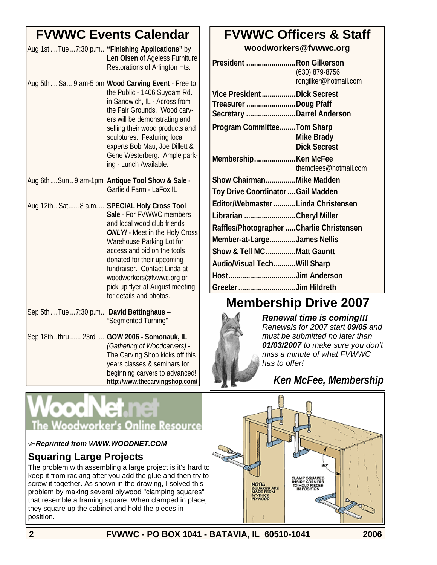### **FVWWC Events Calendar**

| Aug 1st  Tue  7:30 p.m "Finishing Applications" by |
|----------------------------------------------------|
| Len Olsen of Ageless Furniture                     |
| Restorations of Arlington Hts.                     |
|                                                    |

- Aug 5th.... Sat.. 9 am-5 pm **Wood Carving Event** Free to the Public - 1406 Suydam Rd. in Sandwich, IL - Across from the Fair Grounds. Wood carvers will be demonstrating and selling their wood products and sculptures. Featuring local experts Bob Mau, Joe Dillett & Gene Westerberg. Ample parking - Lunch Available.
- Aug 6th....Sun ..9 am-1pm.**Antique Tool Show & Sale**  Garfield Farm - LaFox IL
- Aug 12th.. Sat...... 8 a.m. ....**SPECIAL Holy Cross Tool Sale** - For FVWWC members and local wood club friends *ONLY!* - Meet in the Holy Cross Warehouse Parking Lot for access and bid on the tools donated for their upcoming fundraiser. Contact Linda at woodworkers@fvwwc.org or pick up flyer at August meeting for details and photos.
- Sep 5th....Tue ...7:30 p.m... **David Bettinghaus**  "Segmented Turning"
- Sep 18th..thru ...... 23rd .....**GOW 2006 Somonauk, IL**  *(Gathering of Woodcarvers)* - The Carving Shop kicks off this years classes & seminars for beginning carvers to advanced! **http://www.thecarvingshop.com/**

# **FVWWC Officers & Staff**

**woodworkers@fvwwc.org** 

| President  Ron Gilkerson                  | (630) 879-8756<br>rongilker@hotmail.com |
|-------------------------------------------|-----------------------------------------|
| Vice President  Dick Secrest              |                                         |
| Treasurer Doug Pfaff                      |                                         |
| Secretary Darrel Anderson                 |                                         |
| Program CommitteeTom Sharp                |                                         |
|                                           | Mike Brady                              |
|                                           | <b>Dick Secrest</b>                     |
| Membership Ken McFee                      |                                         |
|                                           | themcfees@hotmail.com                   |
| Show ChairmanMike Madden                  |                                         |
| Toy Drive Coordinator  Gail Madden        |                                         |
| Editor/Webmaster Linda Christensen        |                                         |
| Librarian Cheryl Miller                   |                                         |
| Raffles/Photographer  Charlie Christensen |                                         |
| Member-at-LargeJames Nellis               |                                         |
| Show & Tell MC Matt Gauntt                |                                         |
| Audio/Visual TechWill Sharp               |                                         |
|                                           |                                         |
| Greeter Jim Hildreth                      |                                         |

## **Membership Drive 2007**



*Renewal time is coming!!! Renewals for 2007 start 09/05 and must be submitted no later than 01/03/2007 to make sure you don't miss a minute of what FVWWC has to offer!*

*Ken McFee, Membership* 

# **odNet n The Woodworker's Online Resource**

#### $\&$  Reprinted from WWW.WOODNET.COM

#### **Squaring Large Projects**

The problem with assembling a large project is it's hard to keep it from racking after you add the glue and then try to screw it together. As shown in the drawing, I solved this problem by making several plywood "clamping squares" that resemble a framing square. When clamped in place, they square up the cabinet and hold the pieces in position.

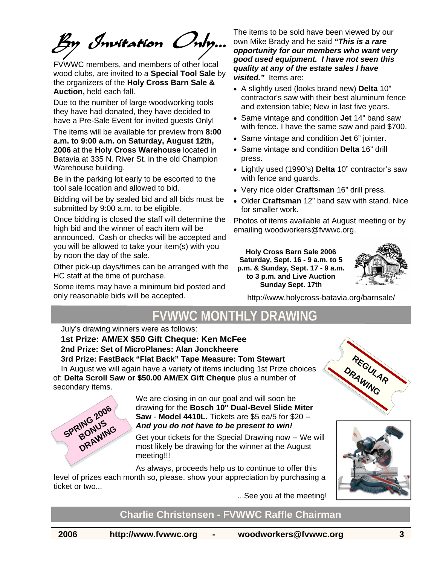By Invitation Only…

FVWWC members, and members of other local wood clubs, are invited to a **Special Tool Sale** by the organizers of the **Holy Cross Barn Sale & Auction,** held each fall.

Due to the number of large woodworking tools they have had donated, they have decided to have a Pre-Sale Event for invited guests Only!

The items will be available for preview from **8:00 a.m. to 9:00 a.m. on Saturday, August 12th, 2006** at the **Holy Cross Warehouse** located in Batavia at 335 N. River St. in the old Champion Warehouse building.

Be in the parking lot early to be escorted to the tool sale location and allowed to bid.

Bidding will be by sealed bid and all bids must be submitted by 9:00 a.m. to be eligible.

Once bidding is closed the staff will determine the high bid and the winner of each item will be announced. Cash or checks will be accepted and you will be allowed to take your item(s) with you by noon the day of the sale.

Other pick-up days/times can be arranged with the HC staff at the time of purchase.

Some items may have a minimum bid posted and only reasonable bids will be accepted.

The items to be sold have been viewed by our own Mike Brady and he said *"This is a rare opportunity for our members who want very good used equipment. I have not seen this quality at any of the estate sales I have visited."* Items are:

- A slightly used (looks brand new) **Delta** 10" contractor's saw with their best aluminum fence and extension table; New in last five years.
- Same vintage and condition **Jet** 14" band saw with fence. I have the same saw and paid \$700.
- Same vintage and condition **Jet** 6" jointer.
- Same vintage and condition **Delta** 16" drill press.
- Lightly used (1990's) **Delta** 10" contractor's saw with fence and guards.
- Very nice older **Craftsman** 16" drill press.
- Older **Craftsman** 12" band saw with stand. Nice for smaller work.

Photos of items available at August meeting or by emailing woodworkers@fvwwc.org.

**Holy Cross Barn Sale 2006 Saturday, Sept. 16 - 9 a.m. to 5 p.m. & Sunday, Sept. 17 - 9 a.m. to 3 p.m. and Live Auction Sunday Sept. 17th** 



**REGULAR DRAWING**

http://www.holycross-batavia.org/barnsale/

### **FVWWC MONTHLY DRAWIN**

July's drawing winners were as follows:

**1st Prize: AM/EX \$50 Gift Cheque: Ken McFee 2nd Prize: Set of MicroPlanes: Alan Jonckheere 3rd Prize: FastBack "Flat Back" Tape Measure: Tom Stewart** 

In August we will again have a variety of items including 1st Prize choices of: **Delta Scroll Saw or \$50.00 AM/EX Gift Cheque** plus a number of secondary items.



We are closing in on our goal and will soon be drawing for the **Bosch 10" Dual-Bevel Slide Miter Saw** - **Model 4410L.** Tickets are \$5 ea/5 for \$20 -- *And you do not have to be present to win!*

Get your tickets for the Special Drawing now -- We will most likely be drawing for the winner at the August meeting!!!

As always, proceeds help us to continue to offer this level of prizes each month so, please, show your appreciation by purchasing a ticket or two...

...See you at the meeting!

#### **Charlie Christensen - FVWWC Raffle Chairman**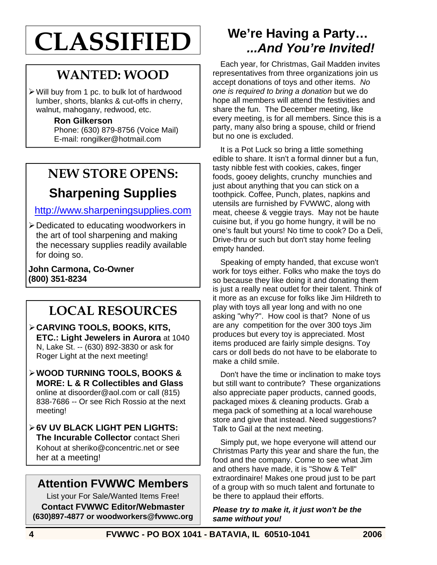# **CLASSIFIED**

# **WANTED: WOOD**

 $\triangleright$  Will buy from 1 pc. to bulk lot of hardwood lumber, shorts, blanks & cut-offs in cherry, walnut, mahogany, redwood, etc.

#### **Ron Gilkerson**

Phone: (630) 879-8756 (Voice Mail) E-mail: rongilker@hotmail.com

# **NEW STORE OPENS:**

## **Sharpening Supplies**

#### http://www.sharpeningsupplies.com

¾ Dedicated to educating woodworkers in the art of tool sharpening and making the necessary supplies readily available for doing so.

**John Carmona, Co-Owner (800) 351-8234** 

# **LOCAL RESOURCES**

- ¾ **CARVING TOOLS, BOOKS, KITS, ETC.: Light Jewelers in Aurora** at 1040 N, Lake St. -- (630) 892-3830 or ask for Roger Light at the next meeting!
- ¾ **WOOD TURNING TOOLS, BOOKS & MORE: L & R Collectibles and Glass**  online at disoorder@aol.com or call (815) 838-7686 -- Or see Rich Rossio at the next meeting!
- ¾ **6V UV BLACK LIGHT PEN LIGHTS: The Incurable Collector** contact Sheri Kohout at sheriko@concentric.net or see her at a meeting!

#### **Attention FVWWC Members**

List your For Sale/Wanted Items Free! **Contact FVWWC Editor/Webmaster (630)897-4877 or woodworkers@fvwwc.org** 

### **We're Having a Party…** *...And You're Invited!*

Each year, for Christmas, Gail Madden invites representatives from three organizations join us accept donations of toys and other items. *No one is required to bring a donation* but we do hope all members will attend the festivities and share the fun. The December meeting, like every meeting, is for all members. Since this is a party, many also bring a spouse, child or friend but no one is excluded.

It is a Pot Luck so bring a little something edible to share. It isn't a formal dinner but a fun, tasty nibble fest with cookies, cakes, finger foods, gooey delights, crunchy munchies and just about anything that you can stick on a toothpick. Coffee, Punch, plates, napkins and utensils are furnished by FVWWC, along with meat, cheese & veggie trays. May not be haute cuisine but, if you go home hungry, it will be no one's fault but yours! No time to cook? Do a Deli, Drive-thru or such but don't stay home feeling empty handed.

Speaking of empty handed, that excuse won't work for toys either. Folks who make the toys do so because they like doing it and donating them is just a really neat outlet for their talent. Think of it more as an excuse for folks like Jim Hildreth to play with toys all year long and with no one asking "why?". How cool is that? None of us are any competition for the over 300 toys Jim produces but every toy is appreciated. Most items produced are fairly simple designs. Toy cars or doll beds do not have to be elaborate to make a child smile.

Don't have the time or inclination to make toys but still want to contribute? These organizations also appreciate paper products, canned goods, packaged mixes & cleaning products. Grab a mega pack of something at a local warehouse store and give that instead. Need suggestions? Talk to Gail at the next meeting.

Simply put, we hope everyone will attend our Christmas Party this year and share the fun, the food and the company. Come to see what Jim and others have made, it is "Show & Tell" extraordinaire! Makes one proud just to be part of a group with so much talent and fortunate to be there to applaud their efforts.

#### *Please try to make it, it just won't be the same without you!*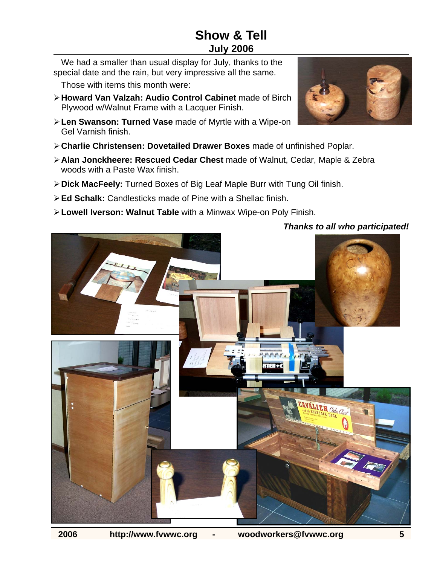#### **Show & Tell July 2006**

We had a smaller than usual display for July, thanks to the special date and the rain, but very impressive all the same.

Those with items this month were:

- ¾ **Howard Van Valzah: Audio Control Cabinet** made of Birch Plywood w/Walnut Frame with a Lacquer Finish.
- ¾ **Len Swanson: Turned Vase** made of Myrtle with a Wipe-on Gel Varnish finish.
- ¾ **Charlie Christensen: Dovetailed Drawer Boxes** made of unfinished Poplar.
- ¾ **Alan Jonckheere: Rescued Cedar Chest** made of Walnut, Cedar, Maple & Zebra woods with a Paste Wax finish.
- ¾ **Dick MacFeely:** Turned Boxes of Big Leaf Maple Burr with Tung Oil finish.
- ¾ **Ed Schalk:** Candlesticks made of Pine with a Shellac finish.
- ¾ **Lowell Iverson: Walnut Table** with a Minwax Wipe-on Poly Finish.





#### *Thanks to all who participated!*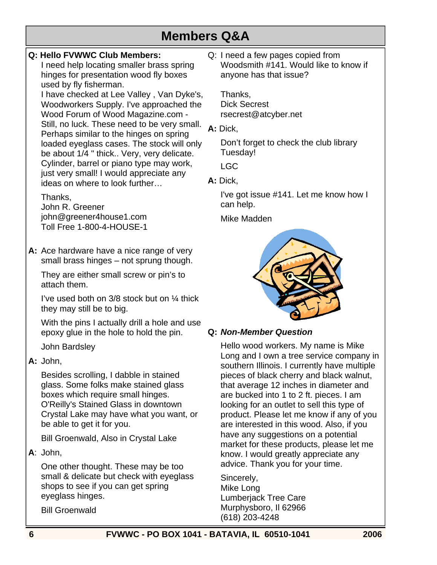### **Members Q&A**

#### **Q: Hello FVWWC Club Members:**

I need help locating smaller brass spring hinges for presentation wood fly boxes used by fly fisherman.

I have checked at Lee Valley , Van Dyke's, Woodworkers Supply. I've approached the Wood Forum of Wood Magazine.com - Still, no luck. These need to be very small. Perhaps similar to the hinges on spring loaded eyeglass cases. The stock will only be about 1/4 " thick.. Very, very delicate. Cylinder, barrel or piano type may work, just very small! I would appreciate any ideas on where to look further…

#### Thanks,

John R. Greener john@greener4house1.com Toll Free 1-800-4-HOUSE-1

**A:** Ace hardware have a nice range of very small brass hinges – not sprung though.

 They are either small screw or pin's to attach them.

 I've used both on 3/8 stock but on ¼ thick they may still be to big.

 With the pins I actually drill a hole and use epoxy glue in the hole to hold the pin.

John Bardsley

#### **A:** John,

 Besides scrolling, I dabble in stained glass. Some folks make stained glass boxes which require small hinges. O'Reilly's Stained Glass in downtown Crystal Lake may have what you want, or be able to get it for you.

Bill Groenwald, Also in Crystal Lake

**A**: John,

 One other thought. These may be too small & delicate but check with eyeglass shops to see if you can get spring eyeglass hinges.

Bill Groenwald

Q: I need a few pages copied from Woodsmith #141. Would like to know if anyone has that issue?

Thanks, Dick Secrest rsecrest@atcyber.net

**A:** Dick,

 Don't forget to check the club library Tuesday!

LGC

**A:** Dick,

 I've got issue #141. Let me know how I can help.

Mike Madden



#### **Q:** *Non-Member Question*

 Hello wood workers. My name is Mike Long and I own a tree service company in southern Illinois. I currently have multiple pieces of black cherry and black walnut, that average 12 inches in diameter and are bucked into 1 to 2 ft. pieces. I am looking for an outlet to sell this type of product. Please let me know if any of you are interested in this wood. Also, if you have any suggestions on a potential market for these products, please let me know. I would greatly appreciate any advice. Thank you for your time.

 Sincerely, Mike Long Lumberjack Tree Care Murphysboro, Il 62966 (618) 203-4248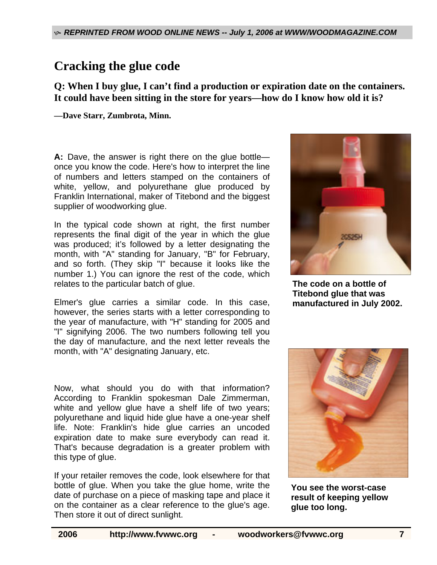### **Cracking the glue code**

**Q: When I buy glue, I can't find a production or expiration date on the containers. It could have been sitting in the store for years—how do I know how old it is?** 

**—Dave Starr, Zumbrota, Minn.**

**A:** Dave, the answer is right there on the glue bottle once you know the code. Here's how to interpret the line of numbers and letters stamped on the containers of white, yellow, and polyurethane glue produced by Franklin International, maker of Titebond and the biggest supplier of woodworking glue.

In the typical code shown at right, the first number represents the final digit of the year in which the glue was produced; it's followed by a letter designating the month, with "A" standing for January, "B" for February, and so forth. (They skip "I" because it looks like the number 1.) You can ignore the rest of the code, which relates to the particular batch of glue.

Elmer's glue carries a similar code. In this case, however, the series starts with a letter corresponding to the year of manufacture, with "H" standing for 2005 and "I" signifying 2006. The two numbers following tell you the day of manufacture, and the next letter reveals the month, with "A" designating January, etc.

Now, what should you do with that information? According to Franklin spokesman Dale Zimmerman, white and yellow glue have a shelf life of two years; polyurethane and liquid hide glue have a one-year shelf life. Note: Franklin's hide glue carries an uncoded expiration date to make sure everybody can read it. That's because degradation is a greater problem with this type of glue.

If your retailer removes the code, look elsewhere for that bottle of glue. When you take the glue home, write the date of purchase on a piece of masking tape and place it on the container as a clear reference to the glue's age. Then store it out of direct sunlight.



**The code on a bottle of Titebond glue that was manufactured in July 2002.**



**You see the worst-case result of keeping yellow glue too long.**